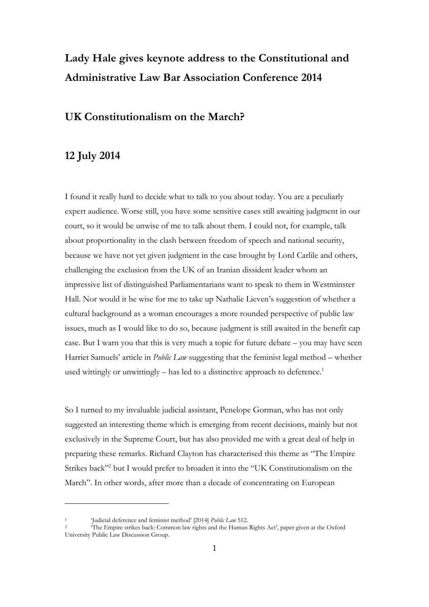# **Lady Hale gives keynote address to the Constitutional and Administrative Law Bar Association Conference 2014**

### **UK Constitutionalism on the March?**

## **12 July 2014**

I found it really hard to decide what to talk to you about today. You are a peculiarly expert audience. Worse still, you have some sensitive cases still awaiting judgment in our court, so it would be unwise of me to talk about them. I could not, for example, talk about proportionality in the clash between freedom of speech and national security, because we have not yet given judgment in the case brought by Lord Carlile and others, challenging the exclusion from the UK of an Iranian dissident leader whom an impressive list of distinguished Parliamentarians want to speak to them in Westminster Hall. Nor would it be wise for me to take up Nathalie Lieven's suggestion of whether a cultural background as a woman encourages a more rounded perspective of public law issues, much as I would like to do so, because judgment is still awaited in the benefit cap case. But I warn you that this is very much a topic for future debate – you may have seen Harriet Samuels' article in *Public Law* suggesting that the feminist legal method – whether used wittingly or unwittingly - has led to a distinctive approach to deference.<sup>1</sup>

So I turned to my invaluable judicial assistant, Penelope Gorman, who has not only suggested an interesting theme which is emerging from recent decisions, mainly but not exclusively in the Supreme Court, but has also provided me with a great deal of help in preparing these remarks. Richard Clayton has characterised this theme as "The Empire Strikes back"<sup>2</sup> but I would prefer to broaden it into the "UK Constitutionalism on the March". In other words, after more than a decade of concentrating on European

<sup>1</sup> 'Judicial deference and feminist method' [2014] *Public Law* 512.

<sup>2</sup> 'The Empire strikes back: Common law rights and the Human Rights Act', paper given at the Oxford University Public Law Discussion Group.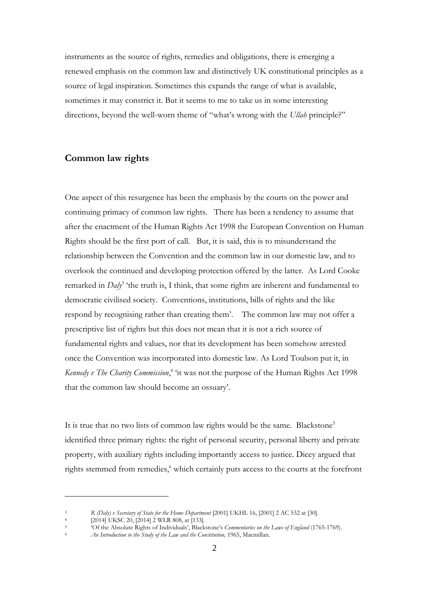instruments as the source of rights, remedies and obligations, there is emerging a renewed emphasis on the common law and distinctively UK constitutional principles as a source of legal inspiration. Sometimes this expands the range of what is available, sometimes it may constrict it. But it seems to me to take us in some interesting directions, beyond the well-worn theme of "what's wrong with the *Ullah* principle?"

#### **Common law rights**

One aspect of this resurgence has been the emphasis by the courts on the power and continuing primacy of common law rights. There has been a tendency to assume that after the enactment of the Human Rights Act 1998 the European Convention on Human Rights should be the first port of call. But, it is said, this is to misunderstand the relationship between the Convention and the common law in our domestic law, and to overlook the continued and developing protection offered by the latter. As Lord Cooke remarked in *Daly*<sup>3</sup> 'the truth is, I think, that some rights are inherent and fundamental to democratic civilised society. Conventions, institutions, bills of rights and the like respond by recognising rather than creating them'. The common law may not offer a prescriptive list of rights but this does not mean that it is not a rich source of fundamental rights and values, nor that its development has been somehow arrested once the Convention was incorporated into domestic law. As Lord Toulson put it, in *Kennedy v The Charity Commission*, 4 'it was not the purpose of the Human Rights Act 1998 that the common law should become an ossuary'.

It is true that no two lists of common law rights would be the same. Blackstone<sup>5</sup> identified three primary rights: the right of personal security, personal liberty and private property, with auxiliary rights including importantly access to justice. Dicey argued that rights stemmed from remedies,<sup>6</sup> which certainly puts access to the courts at the forefront

<sup>3</sup> *R (Daly) v Secretary of State for the Home Department* [2001] UKHL 16, [2001] 2 AC 532 at [30].

<sup>&</sup>lt;sup>4</sup> [2014] UKSC 20, [2014] 2 WLR 808, at [133].

<sup>&</sup>lt;sup>5</sup> <sup>5</sup> <sup>5</sup> <sup>5</sup> <sup>5</sup> <sup>6</sup> Of the Absolute Rights of Individuals', Blackstone's *Commentaries on the Laws of England* (1765-1769).

An Introduction to the Study of the Law and the Constitution, 1965, Macmillan.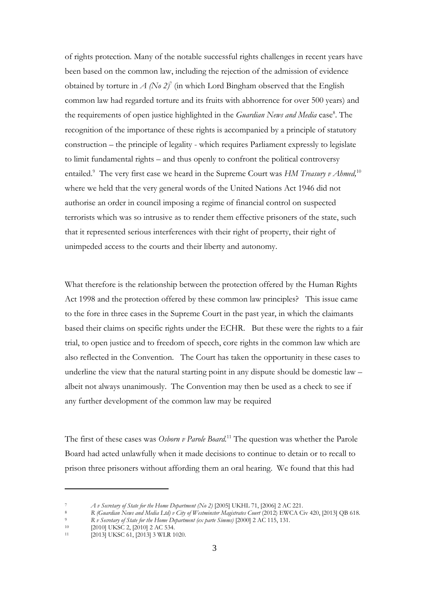of rights protection. Many of the notable successful rights challenges in recent years have been based on the common law, including the rejection of the admission of evidence obtained by torture in  $A (N_0 2)^7$  (in which Lord Bingham observed that the English common law had regarded torture and its fruits with abhorrence for over 500 years) and the requirements of open justice highlighted in the *Guardian News and Media* case<sup>8</sup>. The recognition of the importance of these rights is accompanied by a principle of statutory construction – the principle of legality - which requires Parliament expressly to legislate to limit fundamental rights – and thus openly to confront the political controversy entailed.<sup>9</sup> The very first case we heard in the Supreme Court was *HM Treasury v Ahmed*,<sup>10</sup> where we held that the very general words of the United Nations Act 1946 did not authorise an order in council imposing a regime of financial control on suspected terrorists which was so intrusive as to render them effective prisoners of the state, such that it represented serious interferences with their right of property, their right of unimpeded access to the courts and their liberty and autonomy.

What therefore is the relationship between the protection offered by the Human Rights Act 1998 and the protection offered by these common law principles? This issue came to the fore in three cases in the Supreme Court in the past year, in which the claimants based their claims on specific rights under the ECHR. But these were the rights to a fair trial, to open justice and to freedom of speech, core rights in the common law which are also reflected in the Convention. The Court has taken the opportunity in these cases to underline the view that the natural starting point in any dispute should be domestic law – albeit not always unanimously. The Convention may then be used as a check to see if any further development of the common law may be required

The first of these cases was *Osborn v Parole Board.* <sup>11</sup> The question was whether the Parole Board had acted unlawfully when it made decisions to continue to detain or to recall to prison three prisoners without affording them an oral hearing. We found that this had

<sup>7</sup> *A v Secretary of State for the Home Department (No 2)* [2005] UKHL 71, [2006] 2 AC 221.

<sup>8</sup> *R (Guardian News and Media Ltd) v City of Westminster Magistrates Court* (2012) EWCA Civ 420, [2013] QB 618. <sup>9</sup> *R v Secretary of State for the Home Department (ex parte Simms)* [2000] 2 AC 115, 131.

<sup>&</sup>lt;sup>10</sup> [2010] UKSC 2, [2010] 2 AC 534.<br><sup>11</sup> [2013] UKSC 61 [2013] 3 WJ B 1

 $[2013]$  UKSC 61,  $[2013]$  3 WLR 1020.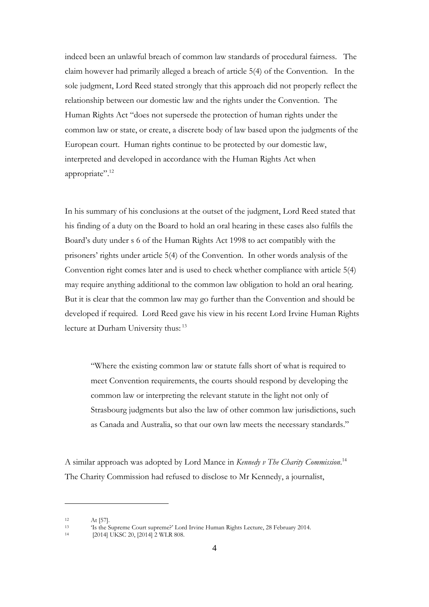indeed been an unlawful breach of common law standards of procedural fairness. The claim however had primarily alleged a breach of article 5(4) of the Convention. In the sole judgment, Lord Reed stated strongly that this approach did not properly reflect the relationship between our domestic law and the rights under the Convention. The Human Rights Act "does not supersede the protection of human rights under the common law or state, or create, a discrete body of law based upon the judgments of the European court. Human rights continue to be protected by our domestic law, interpreted and developed in accordance with the Human Rights Act when appropriate".<sup>12</sup>

In his summary of his conclusions at the outset of the judgment, Lord Reed stated that his finding of a duty on the Board to hold an oral hearing in these cases also fulfils the Board's duty under s 6 of the Human Rights Act 1998 to act compatibly with the prisoners' rights under article 5(4) of the Convention. In other words analysis of the Convention right comes later and is used to check whether compliance with article 5(4) may require anything additional to the common law obligation to hold an oral hearing. But it is clear that the common law may go further than the Convention and should be developed if required. Lord Reed gave his view in his recent Lord Irvine Human Rights lecture at Durham University thus: <sup>13</sup>

"Where the existing common law or statute falls short of what is required to meet Convention requirements, the courts should respond by developing the common law or interpreting the relevant statute in the light not only of Strasbourg judgments but also the law of other common law jurisdictions, such as Canada and Australia, so that our own law meets the necessary standards."

A similar approach was adopted by Lord Mance in *Kennedy v The Charity Commission*. 14 The Charity Commission had refused to disclose to Mr Kennedy, a journalist,

 $12$  At [57].

<sup>13</sup> 'Is the Supreme Court supreme?' Lord Irvine Human Rights Lecture, 28 February 2014.

 $[2014]$  UKSC 20,  $[2014]$  2 WLR 808.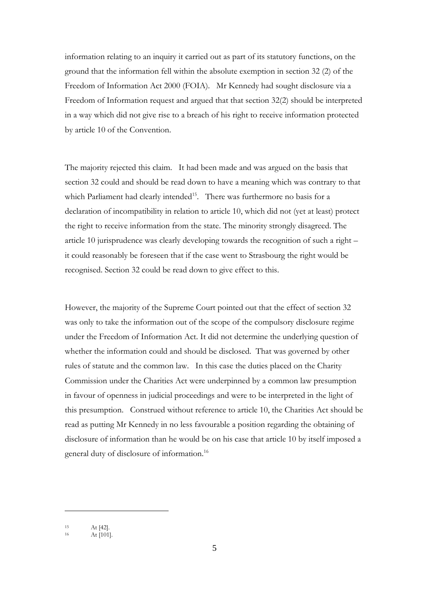information relating to an inquiry it carried out as part of its statutory functions, on the ground that the information fell within the absolute exemption in section 32 (2) of the Freedom of Information Act 2000 (FOIA). Mr Kennedy had sought disclosure via a Freedom of Information request and argued that that section 32(2) should be interpreted in a way which did not give rise to a breach of his right to receive information protected by article 10 of the Convention.

The majority rejected this claim. It had been made and was argued on the basis that section 32 could and should be read down to have a meaning which was contrary to that which Parliament had clearly intended<sup>15</sup>. There was furthermore no basis for a declaration of incompatibility in relation to article 10, which did not (yet at least) protect the right to receive information from the state. The minority strongly disagreed. The article 10 jurisprudence was clearly developing towards the recognition of such a right – it could reasonably be foreseen that if the case went to Strasbourg the right would be recognised. Section 32 could be read down to give effect to this.

However, the majority of the Supreme Court pointed out that the effect of section 32 was only to take the information out of the scope of the compulsory disclosure regime under the Freedom of Information Act. It did not determine the underlying question of whether the information could and should be disclosed. That was governed by other rules of statute and the common law. In this case the duties placed on the Charity Commission under the Charities Act were underpinned by a common law presumption in favour of openness in judicial proceedings and were to be interpreted in the light of this presumption. Construed without reference to article 10, the Charities Act should be read as putting Mr Kennedy in no less favourable a position regarding the obtaining of disclosure of information than he would be on his case that article 10 by itself imposed a general duty of disclosure of information. 16

<sup>15</sup> At [42].

At [101].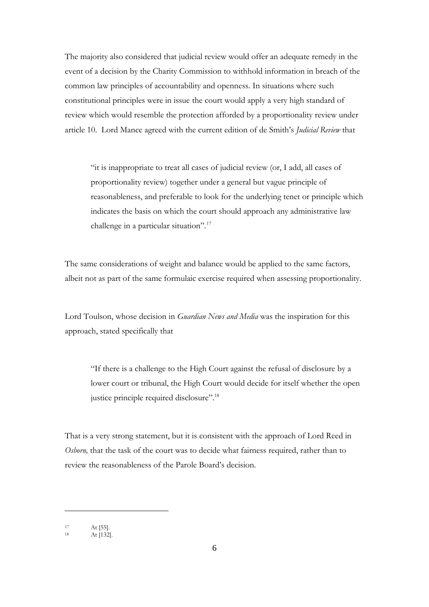The majority also considered that judicial review would offer an adequate remedy in the event of a decision by the Charity Commission to withhold information in breach of the common law principles of accountability and openness. In situations where such constitutional principles were in issue the court would apply a very high standard of review which would resemble the protection afforded by a proportionality review under article 10. Lord Mance agreed with the current edition of de Smith's *Judicial Review* that

"it is inappropriate to treat all cases of judicial review (or, I add, all cases of proportionality review) together under a general but vague principle of reasonableness, and preferable to look for the underlying tenet or principle which indicates the basis on which the court should approach any administrative law challenge in a particular situation"*. 17*

The same considerations of weight and balance would be applied to the same factors, albeit not as part of the same formulaic exercise required when assessing proportionality.

Lord Toulson, whose decision in *Guardian News and Media* was the inspiration for this approach, stated specifically that

"If there is a challenge to the High Court against the refusal of disclosure by a lower court or tribunal, the High Court would decide for itself whether the open justice principle required disclosure".<sup>18</sup>

That is a very strong statement, but it is consistent with the approach of Lord Reed in *Osborn*, that the task of the court was to decide what fairness required, rather than to review the reasonableness of the Parole Board's decision.

<sup>17</sup> At [55].

<sup>18</sup> At [132].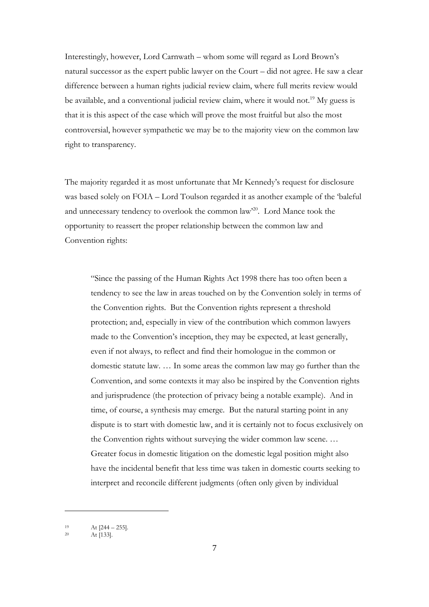Interestingly, however, Lord Carnwath – whom some will regard as Lord Brown's natural successor as the expert public lawyer on the Court – did not agree. He saw a clear difference between a human rights judicial review claim, where full merits review would be available, and a conventional judicial review claim, where it would not.<sup>19</sup> My guess is that it is this aspect of the case which will prove the most fruitful but also the most controversial, however sympathetic we may be to the majority view on the common law right to transparency.

The majority regarded it as most unfortunate that Mr Kennedy's request for disclosure was based solely on FOIA – Lord Toulson regarded it as another example of the 'baleful and unnecessary tendency to overlook the common law'<sup>20</sup>. Lord Mance took the opportunity to reassert the proper relationship between the common law and Convention rights:

"Since the passing of the Human Rights Act 1998 there has too often been a tendency to see the law in areas touched on by the Convention solely in terms of the Convention rights. But the Convention rights represent a threshold protection; and, especially in view of the contribution which common lawyers made to the Convention's inception, they may be expected, at least generally, even if not always, to reflect and find their homologue in the common or domestic statute law. … In some areas the common law may go further than the Convention, and some contexts it may also be inspired by the Convention rights and jurisprudence (the protection of privacy being a notable example). And in time, of course, a synthesis may emerge. But the natural starting point in any dispute is to start with domestic law, and it is certainly not to focus exclusively on the Convention rights without surveying the wider common law scene. … Greater focus in domestic litigation on the domestic legal position might also have the incidental benefit that less time was taken in domestic courts seeking to interpret and reconcile different judgments (often only given by individual

<sup>&</sup>lt;sup>19</sup> At  $[244 - 255]$ .<br>
<sup>20</sup> At [133]

At [133].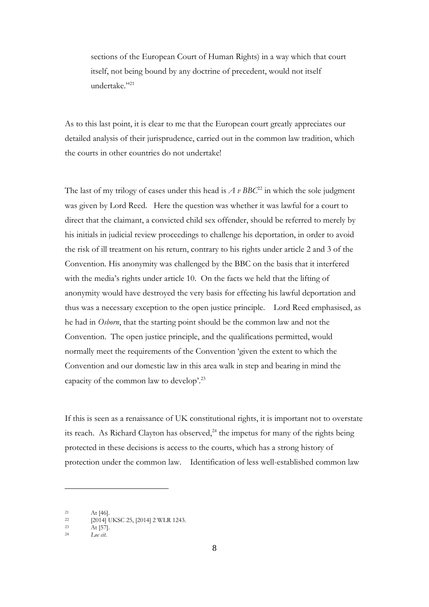sections of the European Court of Human Rights) in a way which that court itself, not being bound by any doctrine of precedent, would not itself undertake." 21

As to this last point, it is clear to me that the European court greatly appreciates our detailed analysis of their jurisprudence, carried out in the common law tradition, which the courts in other countries do not undertake!

The last of my trilogy of cases under this head is  $A \nu BBC^{22}$  in which the sole judgment was given by Lord Reed. Here the question was whether it was lawful for a court to direct that the claimant, a convicted child sex offender, should be referred to merely by his initials in judicial review proceedings to challenge his deportation, in order to avoid the risk of ill treatment on his return, contrary to his rights under article 2 and 3 of the Convention. His anonymity was challenged by the BBC on the basis that it interfered with the media's rights under article 10. On the facts we held that the lifting of anonymity would have destroyed the very basis for effecting his lawful deportation and thus was a necessary exception to the open justice principle. Lord Reed emphasised, as he had in *Osborn*, that the starting point should be the common law and not the Convention. The open justice principle, and the qualifications permitted, would normally meet the requirements of the Convention 'given the extent to which the Convention and our domestic law in this area walk in step and bearing in mind the capacity of the common law to develop'. 23

If this is seen as a renaissance of UK constitutional rights, it is important not to overstate its reach. As Richard Clayton has observed,<sup>24</sup> the impetus for many of the rights being protected in these decisions is access to the courts, which has a strong history of protection under the common law. Identification of less well-established common law

 $21$  At [46].

 $^{22}$  [2014] UKSC 25, [2014] 2 WLR 1243.

<sup>23</sup> At  $[57]$ .

<sup>24</sup> *Loc cit*.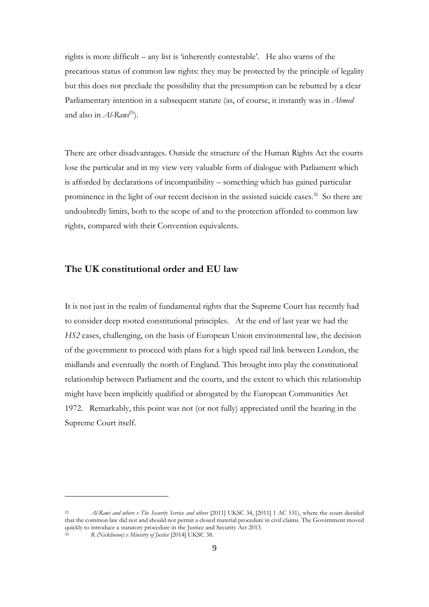rights is more difficult – any list is 'inherently contestable'. He also warns of the precarious status of common law rights: they may be protected by the principle of legality but this does not preclude the possibility that the presumption can be rebutted by a clear Parliamentary intention in a subsequent statute (as, of course, it instantly was in *Ahmed* and also in *Al-Rawi*<sup>25</sup>).

There are other disadvantages. Outside the structure of the Human Rights Act the courts lose the particular and in my view very valuable form of dialogue with Parliament which is afforded by declarations of incompatibility – something which has gained particular prominence in the light of our recent decision in the assisted suicide cases.<sup>26</sup> So there are undoubtedly limits, both to the scope of and to the protection afforded to common law rights, compared with their Convention equivalents.

#### **The UK constitutional order and EU law**

1

It is not just in the realm of fundamental rights that the Supreme Court has recently had to consider deep rooted constitutional principles. At the end of last year we had the *HS2* cases, challenging, on the basis of European Union environmental law, the decision of the government to proceed with plans for a high speed rail link between London, the midlands and eventually the north of England. This brought into play the constitutional relationship between Parliament and the courts, and the extent to which this relationship might have been implicitly qualified or abrogated by the European Communities Act 1972. Remarkably, this point was not (or not fully) appreciated until the hearing in the Supreme Court itself.

<sup>25</sup> *Al-Rawi and others v The Security Service and others* [2011] UKSC 34, [2011] 1 AC 531), where the court decided that the common law did not and should not permit a closed material procedure in civil claims. The Government moved quickly to introduce a statutory procedure in the Justice and Security Act 2013. <sup>26</sup> *R (Nicklinson) v Ministry of Justice* [2014] UKSC 38.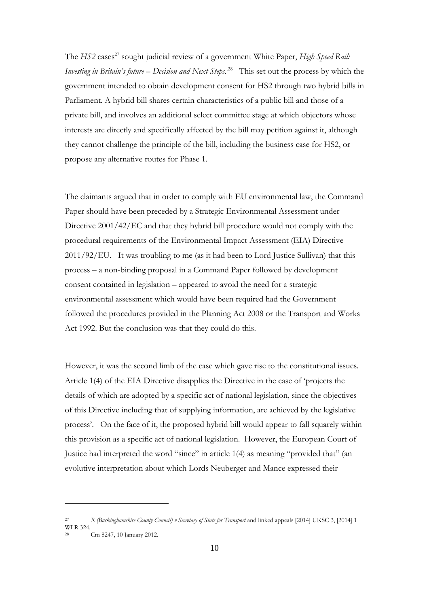The *HS2* cases<sup>27</sup> sought judicial review of a government White Paper, *High Speed Rail: Investing in Britain's future – Decision and Next Steps.* .28 This set out the process by which the government intended to obtain development consent for HS2 through two hybrid bills in Parliament. A hybrid bill shares certain characteristics of a public bill and those of a private bill, and involves an additional select committee stage at which objectors whose interests are directly and specifically affected by the bill may petition against it, although they cannot challenge the principle of the bill, including the business case for HS2, or propose any alternative routes for Phase 1.

The claimants argued that in order to comply with EU environmental law, the Command Paper should have been preceded by a Strategic Environmental Assessment under Directive 2001/42/EC and that they hybrid bill procedure would not comply with the procedural requirements of the Environmental Impact Assessment (EIA) Directive 2011/92/EU. It was troubling to me (as it had been to Lord Justice Sullivan) that this process – a non-binding proposal in a Command Paper followed by development consent contained in legislation – appeared to avoid the need for a strategic environmental assessment which would have been required had the Government followed the procedures provided in the Planning Act 2008 or the Transport and Works Act 1992. But the conclusion was that they could do this.

However, it was the second limb of the case which gave rise to the constitutional issues. Article 1(4) of the EIA Directive disapplies the Directive in the case of 'projects the details of which are adopted by a specific act of national legislation, since the objectives of this Directive including that of supplying information, are achieved by the legislative process'. On the face of it, the proposed hybrid bill would appear to fall squarely within this provision as a specific act of national legislation. However, the European Court of Justice had interpreted the word "since" in article 1(4) as meaning "provided that" (an evolutive interpretation about which Lords Neuberger and Mance expressed their

<sup>27</sup> *R (Buckinghamshire County Council) v Secretary of State for Transport* and linked appeals [2014] UKSC 3, [2014] 1 WLR 324.

<sup>28</sup> Cm 8247, 10 January 2012.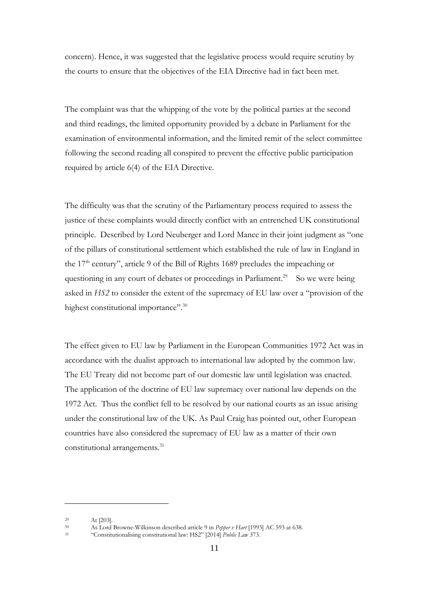concern). Hence, it was suggested that the legislative process would require scrutiny by the courts to ensure that the objectives of the EIA Directive had in fact been met.

The complaint was that the whipping of the vote by the political parties at the second and third readings, the limited opportunity provided by a debate in Parliament for the examination of environmental information, and the limited remit of the select committee following the second reading all conspired to prevent the effective public participation required by article 6(4) of the EIA Directive.

The difficulty was that the scrutiny of the Parliamentary process required to assess the justice of these complaints would directly conflict with an entrenched UK constitutional principle. Described by Lord Neuberger and Lord Mance in their joint judgment as "one of the pillars of constitutional settlement which established the rule of law in England in the  $17<sup>th</sup>$  century", article 9 of the Bill of Rights 1689 precludes the impeaching or questioning in any court of debates or proceedings in Parliament.<sup>29</sup> So we were being asked in *HS2* to consider the extent of the supremacy of EU law over a "provision of the highest constitutional importance".<sup>30</sup>

The effect given to EU law by Parliament in the European Communities 1972 Act was in accordance with the dualist approach to international law adopted by the common law. The EU Treaty did not become part of our domestic law until legislation was enacted. The application of the doctrine of EU law supremacy over national law depends on the 1972 Act. Thus the conflict fell to be resolved by our national courts as an issue arising under the constitutional law of the UK. As Paul Craig has pointed out, other European countries have also considered the supremacy of EU law as a matter of their own constitutional arrangements.<sup>31</sup>

 $29$  At [203].

<sup>30</sup> As Lord Browne-Wilkinson described article 9 in *Pepper v Hart* [1993] AC 593 at 638.

<sup>31</sup> "Constitutionalising constitutional law: HS2" [2014] *Public Law* 373.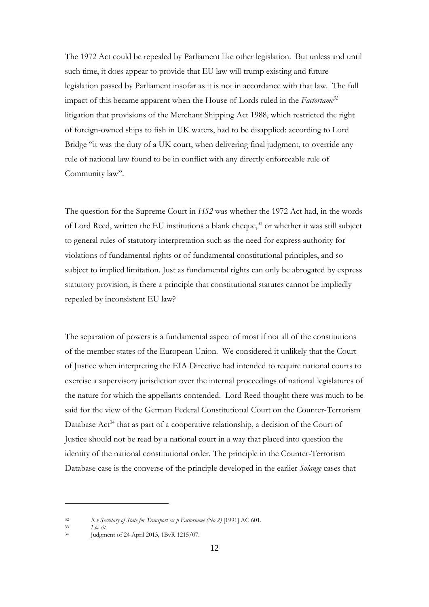The 1972 Act could be repealed by Parliament like other legislation. But unless and until such time, it does appear to provide that EU law will trump existing and future legislation passed by Parliament insofar as it is not in accordance with that law. The full impact of this became apparent when the House of Lords ruled in the *Factortame<sup>32</sup>* litigation that provisions of the Merchant Shipping Act 1988, which restricted the right of foreign-owned ships to fish in UK waters, had to be disapplied: according to Lord Bridge "it was the duty of a UK court, when delivering final judgment, to override any rule of national law found to be in conflict with any directly enforceable rule of Community law".

The question for the Supreme Court in *HS2* was whether the 1972 Act had, in the words of Lord Reed, written the EU institutions a blank cheque, <sup>33</sup> or whether it was still subject to general rules of statutory interpretation such as the need for express authority for violations of fundamental rights or of fundamental constitutional principles, and so subject to implied limitation. Just as fundamental rights can only be abrogated by express statutory provision, is there a principle that constitutional statutes cannot be impliedly repealed by inconsistent EU law?

The separation of powers is a fundamental aspect of most if not all of the constitutions of the member states of the European Union. We considered it unlikely that the Court of Justice when interpreting the EIA Directive had intended to require national courts to exercise a supervisory jurisdiction over the internal proceedings of national legislatures of the nature for which the appellants contended. Lord Reed thought there was much to be said for the view of the German Federal Constitutional Court on the Counter-Terrorism Database Act<sup>34</sup> that as part of a cooperative relationship, a decision of the Court of Justice should not be read by a national court in a way that placed into question the identity of the national constitutional order. The principle in the Counter-Terrorism Database case is the converse of the principle developed in the earlier *Solange* cases that

<sup>32</sup> *R v Secretary of State for Transport ex p Factortame (No 2)* [1991] AC 601.

<sup>33</sup> *Loc cit.*

<sup>34</sup> Judgment of 24 April 2013, 1BvR 1215/07.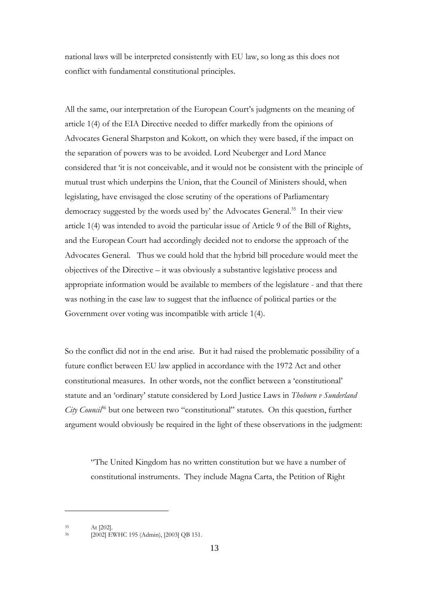national laws will be interpreted consistently with EU law, so long as this does not conflict with fundamental constitutional principles.

All the same, our interpretation of the European Court's judgments on the meaning of article 1(4) of the EIA Directive needed to differ markedly from the opinions of Advocates General Sharpston and Kokott, on which they were based, if the impact on the separation of powers was to be avoided. Lord Neuberger and Lord Mance considered that 'it is not conceivable, and it would not be consistent with the principle of mutual trust which underpins the Union, that the Council of Ministers should, when legislating, have envisaged the close scrutiny of the operations of Parliamentary democracy suggested by the words used by' the Advocates General. 35 In their view article 1(4) was intended to avoid the particular issue of Article 9 of the Bill of Rights, and the European Court had accordingly decided not to endorse the approach of the Advocates General. Thus we could hold that the hybrid bill procedure would meet the objectives of the Directive – it was obviously a substantive legislative process and appropriate information would be available to members of the legislature - and that there was nothing in the case law to suggest that the influence of political parties or the Government over voting was incompatible with article 1(4).

So the conflict did not in the end arise. But it had raised the problematic possibility of a future conflict between EU law applied in accordance with the 1972 Act and other constitutional measures. In other words, not the conflict between a 'constitutional' statute and an 'ordinary' statute considered by Lord Justice Laws in *Thoburn v Sunderland City Council*<sup>86</sup> but one between two "constitutional" statutes. On this question, further argument would obviously be required in the light of these observations in the judgment:

"The United Kingdom has no written constitution but we have a number of constitutional instruments. They include Magna Carta, the Petition of Right

<sup>35</sup> At [202].

<sup>36</sup> [2002] EWHC 195 (Admin), [2003] QB 151.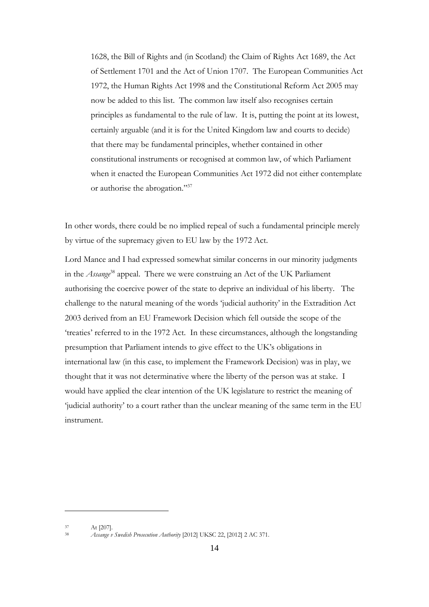1628, the Bill of Rights and (in Scotland) the Claim of Rights Act 1689, the Act of Settlement 1701 and the Act of Union 1707. The European Communities Act 1972, the Human Rights Act 1998 and the Constitutional Reform Act 2005 may now be added to this list. The common law itself also recognises certain principles as fundamental to the rule of law. It is, putting the point at its lowest, certainly arguable (and it is for the United Kingdom law and courts to decide) that there may be fundamental principles, whether contained in other constitutional instruments or recognised at common law, of which Parliament when it enacted the European Communities Act 1972 did not either contemplate or authorise the abrogation."<sup>37</sup>

In other words, there could be no implied repeal of such a fundamental principle merely by virtue of the supremacy given to EU law by the 1972 Act.

Lord Mance and I had expressed somewhat similar concerns in our minority judgments in the *Assange*<sup>38</sup> appeal. There we were construing an Act of the UK Parliament authorising the coercive power of the state to deprive an individual of his liberty. The challenge to the natural meaning of the words 'judicial authority' in the Extradition Act 2003 derived from an EU Framework Decision which fell outside the scope of the 'treaties' referred to in the 1972 Act. In these circumstances, although the longstanding presumption that Parliament intends to give effect to the UK's obligations in international law (in this case, to implement the Framework Decision) was in play, we thought that it was not determinative where the liberty of the person was at stake. I would have applied the clear intention of the UK legislature to restrict the meaning of 'judicial authority' to a court rather than the unclear meaning of the same term in the EU instrument.

<sup>37</sup> At [207].

<sup>38</sup> *Assange v Swedish Prosecution Authority* [2012] UKSC 22, [2012] 2 AC 371.